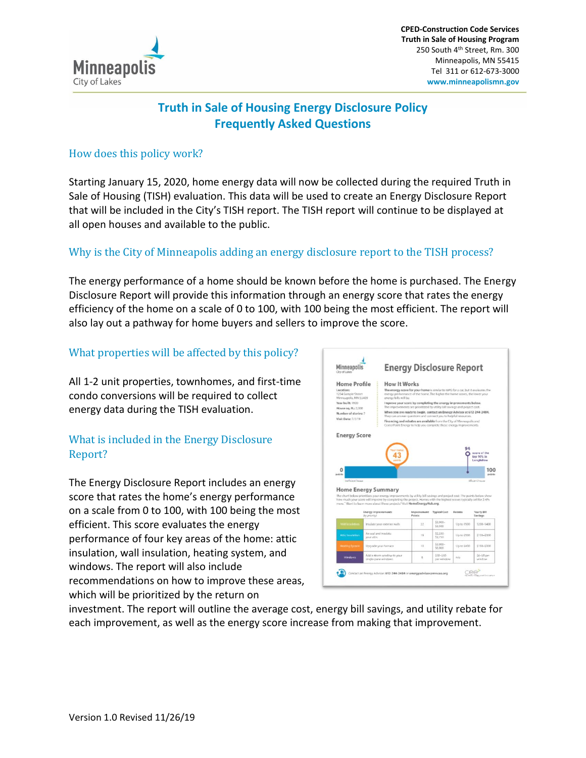

## **Truth in Sale of Housing Energy Disclosure Policy Frequently Asked Questions**

#### How does this policy work?

Starting January 15, 2020, home energy data will now be collected during the required Truth in Sale of Housing (TISH) evaluation. This data will be used to create an Energy Disclosure Report that will be included in the City's TISH report. The TISH report will continue to be displayed at all open houses and available to the public.

#### Why is the City of Minneapolis adding an energy disclosure report to the TISH process?

The energy performance of a home should be known before the home is purchased. The Energy Disclosure Report will provide this information through an energy score that rates the energy efficiency of the home on a scale of 0 to 100, with 100 being the most efficient. The report will also lay out a pathway for home buyers and sellers to improve the score.

#### What properties will be affected by this policy?

All 1-2 unit properties, townhomes, and first-time condo conversions will be required to collect energy data during the TISH evaluation.

#### What is included in the Energy Disclosure Report?

The Energy Disclosure Report includes an energy score that rates the home's energy performance on a scale from 0 to 100, with 100 being the most efficient. This score evaluates the energy performance of four key areas of the home: attic insulation, wall insulation, heating system, and windows. The report will also include recommendations on how to improve these areas, which will be prioritized by the return on

| Minneapolis<br>City of Lakes                                                                                                                                                                                                                                                                                                                                                   |                                            | <b>Energy Disclosure Report</b>                                                                                                                                                                                                                                                                                                         |                                     |                         |             |                                  |  |  |
|--------------------------------------------------------------------------------------------------------------------------------------------------------------------------------------------------------------------------------------------------------------------------------------------------------------------------------------------------------------------------------|--------------------------------------------|-----------------------------------------------------------------------------------------------------------------------------------------------------------------------------------------------------------------------------------------------------------------------------------------------------------------------------------------|-------------------------------------|-------------------------|-------------|----------------------------------|--|--|
| <b>Home Profile</b><br>Locations<br>1234 Sample Street<br>Minneapolis, MN 55409<br>Year built: 1920<br>House sq. ft.; 2.000                                                                                                                                                                                                                                                    |                                            | How It Works                                                                                                                                                                                                                                                                                                                            |                                     |                         |             |                                  |  |  |
|                                                                                                                                                                                                                                                                                                                                                                                |                                            | The energy score for your home is similar to NPG for a car, but it evaluates the<br>energy performance of the home. The higher the home scores, the lower your<br>energy bills will be<br>Improve your score by completing the energy improvements below.<br>The improvements are prioritized by utility bill savings and project cost. |                                     |                         |             |                                  |  |  |
|                                                                                                                                                                                                                                                                                                                                                                                |                                            |                                                                                                                                                                                                                                                                                                                                         |                                     |                         |             |                                  |  |  |
| Financing and rebates are available from the City of Minneapolis and<br>CenterPoint Energy to help you complete these energy improvements.                                                                                                                                                                                                                                     |                                            |                                                                                                                                                                                                                                                                                                                                         |                                     |                         |             |                                  |  |  |
|                                                                                                                                                                                                                                                                                                                                                                                |                                            |                                                                                                                                                                                                                                                                                                                                         |                                     |                         |             |                                  |  |  |
| <b>Energy Score</b>                                                                                                                                                                                                                                                                                                                                                            |                                            |                                                                                                                                                                                                                                                                                                                                         |                                     |                         |             |                                  |  |  |
|                                                                                                                                                                                                                                                                                                                                                                                |                                            |                                                                                                                                                                                                                                                                                                                                         |                                     |                         |             | Lengfellow                       |  |  |
| 0<br>Individual Insurance                                                                                                                                                                                                                                                                                                                                                      |                                            |                                                                                                                                                                                                                                                                                                                                         |                                     |                         |             | 100<br>points<br>Historich Guyen |  |  |
|                                                                                                                                                                                                                                                                                                                                                                                | <b>Energy Improvements</b><br>by pricelty! |                                                                                                                                                                                                                                                                                                                                         | Improvement Typical Cost<br>Points: |                         | Rebata      | Yearly Bill<br>Savings           |  |  |
| <b>Wild brockston</b>                                                                                                                                                                                                                                                                                                                                                          | Insulate your exterior walls               |                                                                                                                                                                                                                                                                                                                                         | 22                                  | \$3,000-<br>\$3,530     | Up to \$500 | \$200-\$400                      |  |  |
| Attic Insulation                                                                                                                                                                                                                                                                                                                                                               | Air seal and insulate<br>your attic        |                                                                                                                                                                                                                                                                                                                                         | 19                                  | \$2,250<br>\$2,750      | Up to \$500 | \$150-\$300                      |  |  |
| points<br><b>Home Energy Summary</b><br>The chart below prioritizes your energy improvements by stility bill savings and project cost. The points below show<br>how much your score will improve by completing the project. Homes with the highest scores typically sell for 2-6%<br>more." Want to keem more about these projects? Visit HomeEnergyHub.org.<br>Heating System | Upgrade your furnace                       |                                                                                                                                                                                                                                                                                                                                         | 10                                  | 53,000-<br>56,000       | Up to \$400 | \$158-5300                       |  |  |
| Windows                                                                                                                                                                                                                                                                                                                                                                        | single-game windows.                       | Acks a storm window to your                                                                                                                                                                                                                                                                                                             | 6                                   | \$50-\$60<br>per window | nía         | $56 - 58$ per<br>window          |  |  |

investment. The report will outline the average cost, energy bill savings, and utility rebate for each improvement, as well as the energy score increase from making that improvement.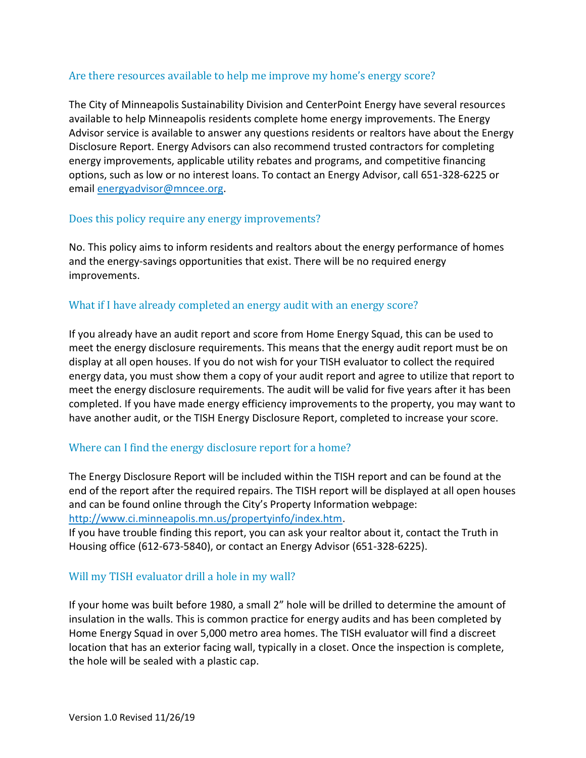#### Are there resources available to help me improve my home's energy score?

The City of Minneapolis Sustainability Division and CenterPoint Energy have several resources available to help Minneapolis residents complete home energy improvements. The Energy Advisor service is available to answer any questions residents or realtors have about the Energy Disclosure Report. Energy Advisors can also recommend trusted contractors for completing energy improvements, applicable utility rebates and programs, and competitive financing options, such as low or no interest loans. To contact an Energy Advisor, call 651-328-6225 or email energyadvisor@mncee.org.

#### Does this policy require any energy improvements?

No. This policy aims to inform residents and realtors about the energy performance of homes and the energy-savings opportunities that exist. There will be no required energy improvements.

#### What if I have already completed an energy audit with an energy score?

If you already have an audit report and score from Home Energy Squad, this can be used to meet the energy disclosure requirements. This means that the energy audit report must be on display at all open houses. If you do not wish for your TISH evaluator to collect the required energy data, you must show them a copy of your audit report and agree to utilize that report to meet the energy disclosure requirements. The audit will be valid for five years after it has been completed. If you have made energy efficiency improvements to the property, you may want to have another audit, or the TISH Energy Disclosure Report, completed to increase your score.

#### Where can I find the energy disclosure report for a home?

The Energy Disclosure Report will be included within the TISH report and can be found at the end of the report after the required repairs. The TISH report will be displayed at all open houses and can be found online through the City's Property Information webpage: http://www.ci.minneapolis.mn.us/propertyinfo/index.htm.

If you have trouble finding this report, you can ask your realtor about it, contact the Truth in Housing office (612-673-5840), or contact an Energy Advisor (651-328-6225).

#### Will my TISH evaluator drill a hole in my wall?

If your home was built before 1980, a small 2" hole will be drilled to determine the amount of insulation in the walls. This is common practice for energy audits and has been completed by Home Energy Squad in over 5,000 metro area homes. The TISH evaluator will find a discreet location that has an exterior facing wall, typically in a closet. Once the inspection is complete, the hole will be sealed with a plastic cap.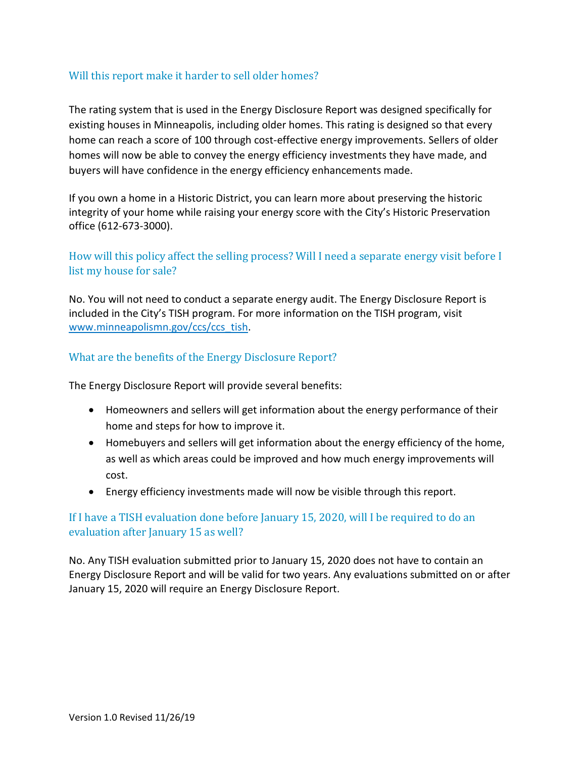#### Will this report make it harder to sell older homes?

The rating system that is used in the Energy Disclosure Report was designed specifically for existing houses in Minneapolis, including older homes. This rating is designed so that every home can reach a score of 100 through cost-effective energy improvements. Sellers of older homes will now be able to convey the energy efficiency investments they have made, and buyers will have confidence in the energy efficiency enhancements made.

If you own a home in a Historic District, you can learn more about preserving the historic integrity of your home while raising your energy score with the City's Historic Preservation office (612-673-3000).

#### How will this policy affect the selling process? Will I need a separate energy visit before I list my house for sale?

No. You will not need to conduct a separate energy audit. The Energy Disclosure Report is included in the City's TISH program. For more information on the TISH program, visit www.minneapolismn.gov/ccs/ccs\_tish.

#### What are the benefits of the Energy Disclosure Report?

The Energy Disclosure Report will provide several benefits:

- Homeowners and sellers will get information about the energy performance of their home and steps for how to improve it.
- Homebuyers and sellers will get information about the energy efficiency of the home, as well as which areas could be improved and how much energy improvements will cost.
- Energy efficiency investments made will now be visible through this report.

#### If I have a TISH evaluation done before January 15, 2020, will I be required to do an evaluation after January 15 as well?

No. Any TISH evaluation submitted prior to January 15, 2020 does not have to contain an Energy Disclosure Report and will be valid for two years. Any evaluations submitted on or after January 15, 2020 will require an Energy Disclosure Report.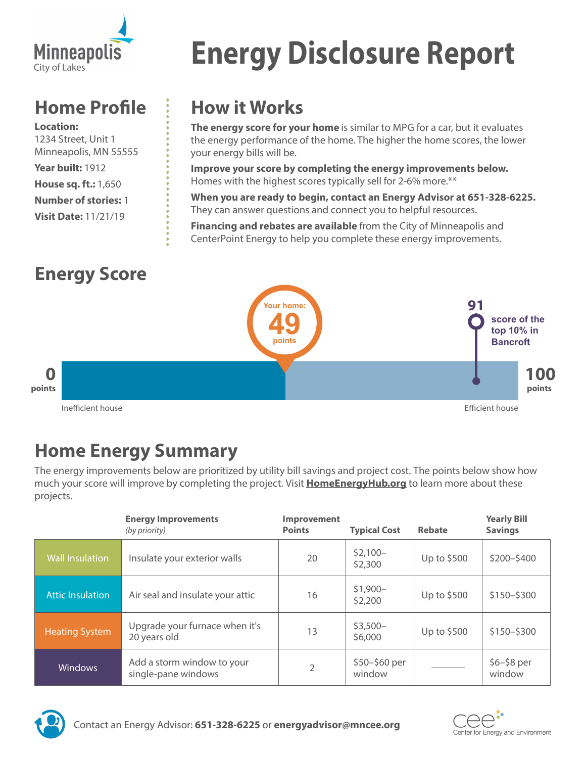

# **Home Profile**

**Location:** 1234 Street, Unit 1 Minneapolis, MN 55555 **Year built:** 1912 **House sq. ft.:** 1,650 **Number of stories:** 1 **Visit Date:** 11/21/19

# **Energy Disclosure Report**

## **How it Works**

**The energy score for your home** is similar to MPG for a car, but it evaluates the energy performance of the home. The higher the home scores, the lower your energy bills will be.

**Improve your score by completing the energy improvements below.** Homes with the highest scores typically sell for 2-6% more.\*\*

**When you are ready to begin, contact an Energy Advisor at 651-328-6225.** They can answer questions and connect you to helpful resources.

**Financing and rebates are available** from the City of Minneapolis and CenterPoint Energy to help you complete these energy improvements.



# **Home Energy Summary**

The energy improvements below are prioritized by utility bill savings and project cost. The points below show how much your score will improve by completing the project. Visit **HomeEnergyHub.org** to learn more about these projects.

|                         | <b>Energy Improvements</b><br>(by priority)       | <b>Improvement</b><br><b>Points</b> | <b>Typical Cost</b>     | Rebate      | <b>Yearly Bill</b><br><b>Savings</b> |
|-------------------------|---------------------------------------------------|-------------------------------------|-------------------------|-------------|--------------------------------------|
| <b>Wall Insulation</b>  | Insulate your exterior walls                      | 20                                  | $$2,100-$<br>\$2,300    | Up to \$500 | $$200 - $400$                        |
| <b>Attic Insulation</b> | Air seal and insulate your attic                  | 16                                  | $$1,900-$<br>\$2,200    | Up to \$500 | $$150 - $300$                        |
| <b>Heating System</b>   | Upgrade your furnace when it's<br>20 years old    | 13                                  | $$3,500-$<br>\$6,000    | Up to \$500 | $$150 - $300$                        |
| <b>Windows</b>          | Add a storm window to your<br>single-pane windows | 2                                   | \$50-\$60 per<br>window |             | $$6 - $8$ per<br>window              |